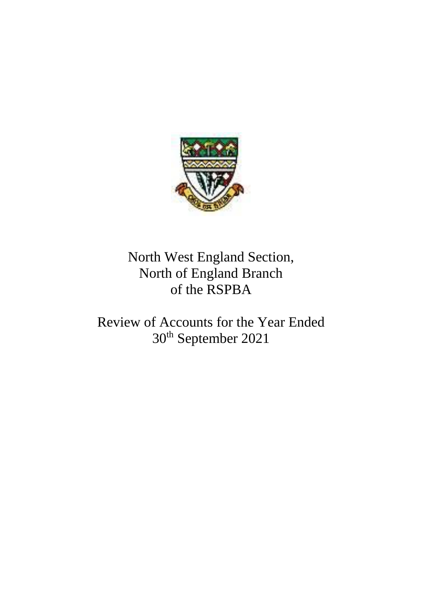

## North West England Section, North of England Branch of the RSPBA

Review of Accounts for the Year Ended 30th September 2021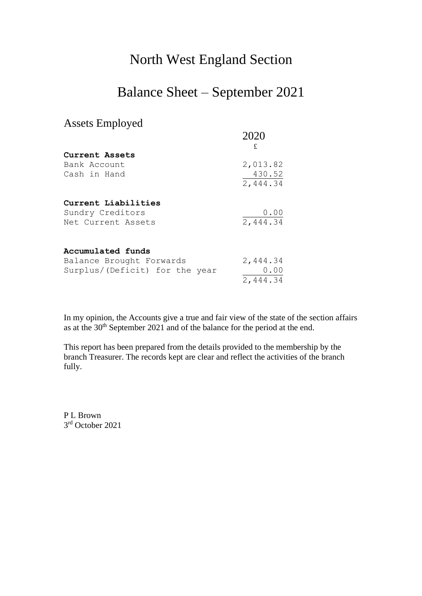### North West England Section

#### Balance Sheet – September 2021

#### Assets Employed

|                                | 2020     |
|--------------------------------|----------|
| Current Assets                 | £        |
| Bank Account                   | 2,013.82 |
| Cash in Hand                   | 430.52   |
|                                | 2,444.34 |
| Current Liabilities            |          |
| Sundry Creditors               | 0.00     |
| Net Current Assets             | 2,444.34 |
| Accumulated funds              |          |
| Balance Brought Forwards       | 2,444.34 |
| Surplus/(Deficit) for the year | 0.00     |
|                                | 2,444.34 |

In my opinion, the Accounts give a true and fair view of the state of the section affairs as at the 30<sup>th</sup> September 2021 and of the balance for the period at the end.

This report has been prepared from the details provided to the membership by the branch Treasurer. The records kept are clear and reflect the activities of the branch fully.

P L Brown 3 rd October 2021